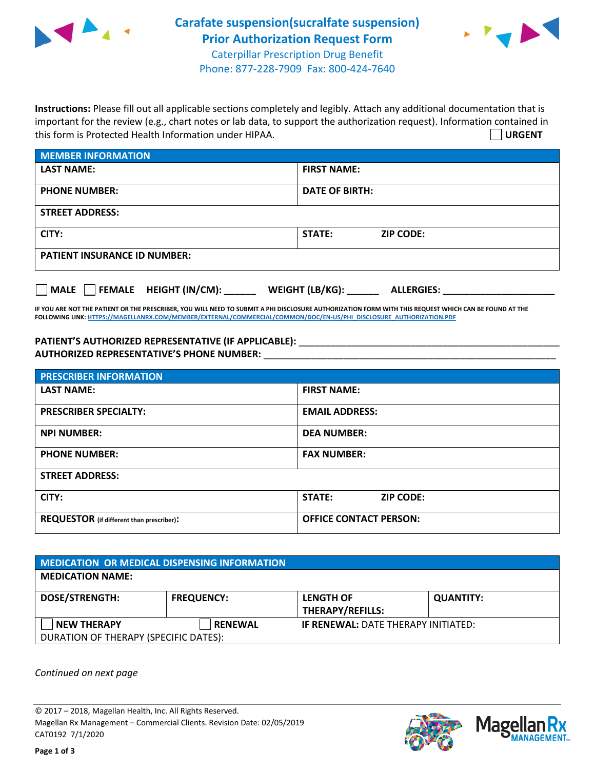



**Instructions:** Please fill out all applicable sections completely and legibly. Attach any additional documentation that is important for the review (e.g., chart notes or lab data, to support the authorization request). Information contained in this form is Protected Health Information under HIPAA. **URGENT**

| <b>MEMBER INFORMATION</b>             |                                      |  |  |  |
|---------------------------------------|--------------------------------------|--|--|--|
| <b>LAST NAME:</b>                     | <b>FIRST NAME:</b>                   |  |  |  |
| <b>PHONE NUMBER:</b>                  | <b>DATE OF BIRTH:</b>                |  |  |  |
| <b>STREET ADDRESS:</b>                |                                      |  |  |  |
| CITY:                                 | <b>STATE:</b><br><b>ZIP CODE:</b>    |  |  |  |
| <b>PATIENT INSURANCE ID NUMBER:</b>   |                                      |  |  |  |
| FEMALE HEIGHT (IN/CM):<br><b>MALE</b> | WEIGHT (LB/KG):<br><b>ALLERGIES:</b> |  |  |  |

**IF YOU ARE NOT THE PATIENT OR THE PRESCRIBER, YOU WILL NEED TO SUBMIT A PHI DISCLOSURE AUTHORIZATION FORM WITH THIS REQUEST WHICH CAN BE FOUND AT THE FOLLOWING LINK[: HTTPS://MAGELLANRX.COM/MEMBER/EXTERNAL/COMMERCIAL/COMMON/DOC/EN-US/PHI\\_DISCLOSURE\\_AUTHORIZATION.PDF](https://magellanrx.com/member/external/commercial/common/doc/en-us/PHI_Disclosure_Authorization.pdf)**

PATIENT'S AUTHORIZED REPRESENTATIVE (IF APPLICABLE): \_\_\_\_\_\_\_\_\_\_\_\_\_\_\_\_\_\_\_\_\_\_\_\_\_\_\_ **AUTHORIZED REPRESENTATIVE'S PHONE NUMBER:** \_\_\_\_\_\_\_\_\_\_\_\_\_\_\_\_\_\_\_\_\_\_\_\_\_\_\_\_\_\_\_\_\_\_\_\_\_\_\_\_\_\_\_\_\_\_\_\_\_\_\_\_\_\_\_

| <b>PRESCRIBER INFORMATION</b>             |                               |  |  |  |
|-------------------------------------------|-------------------------------|--|--|--|
| <b>LAST NAME:</b>                         | <b>FIRST NAME:</b>            |  |  |  |
| <b>PRESCRIBER SPECIALTY:</b>              | <b>EMAIL ADDRESS:</b>         |  |  |  |
| <b>NPI NUMBER:</b>                        | <b>DEA NUMBER:</b>            |  |  |  |
| <b>PHONE NUMBER:</b>                      | <b>FAX NUMBER:</b>            |  |  |  |
| <b>STREET ADDRESS:</b>                    |                               |  |  |  |
| CITY:                                     | STATE:<br><b>ZIP CODE:</b>    |  |  |  |
| REQUESTOR (if different than prescriber): | <b>OFFICE CONTACT PERSON:</b> |  |  |  |

| <b>MEDICATION OR MEDICAL DISPENSING INFORMATION</b> |                   |                                            |                  |  |  |
|-----------------------------------------------------|-------------------|--------------------------------------------|------------------|--|--|
| <b>MEDICATION NAME:</b>                             |                   |                                            |                  |  |  |
| <b>DOSE/STRENGTH:</b>                               | <b>FREQUENCY:</b> | <b>LENGTH OF</b>                           | <b>QUANTITY:</b> |  |  |
|                                                     |                   | THERAPY/REFILLS:                           |                  |  |  |
| <b>NEW THERAPY</b>                                  | <b>RENEWAL</b>    | <b>IF RENEWAL: DATE THERAPY INITIATED:</b> |                  |  |  |
| DURATION OF THERAPY (SPECIFIC DATES):               |                   |                                            |                  |  |  |

*Continued on next page*

© 2017 – 2018, Magellan Health, Inc. All Rights Reserved. Magellan Rx Management – Commercial Clients. Revision Date: 02/05/2019 CAT0192 7/1/2020



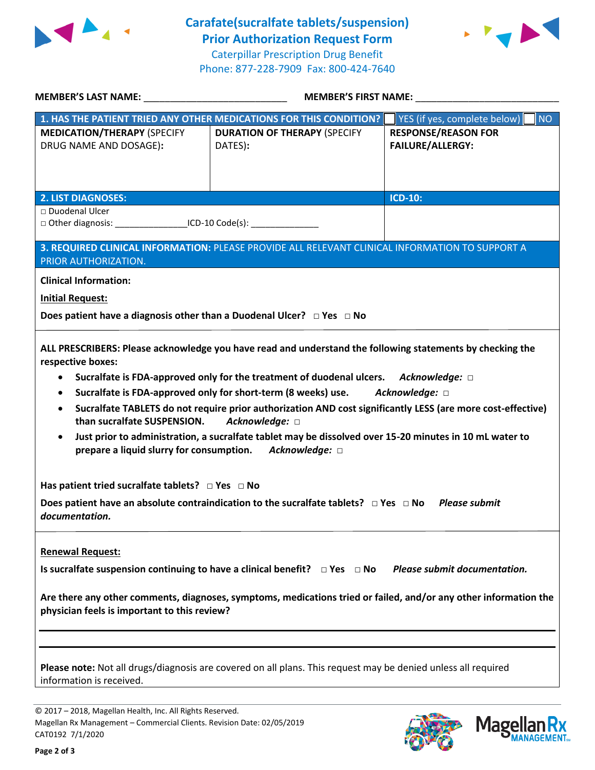

**Carafate(sucralfate tablets/suspension) Prior Authorization Request Form** Caterpillar Prescription Drug Benefit Phone: 877-228-7909 Fax: 800-424-7640



| MEMBER'S LAST NAME: NAME: NAME AND A SERIES OF THE SERIES OF THE SERIES OF THE SERIES OF THE SERIES OF THE SERIES OF THE SERIES OF THE SERIES OF THE SERIES OF THE SERIES OF THE SERIES OF THE SERIES OF THE SERIES OF THE SER                                                                                                                                                                                                                                                                                                                                                                                                                                                                                                                                                                                                                                                                                | MEMBER'S FIRST NAME:                                                                                                                                                                                                                  |                                                       |  |  |
|---------------------------------------------------------------------------------------------------------------------------------------------------------------------------------------------------------------------------------------------------------------------------------------------------------------------------------------------------------------------------------------------------------------------------------------------------------------------------------------------------------------------------------------------------------------------------------------------------------------------------------------------------------------------------------------------------------------------------------------------------------------------------------------------------------------------------------------------------------------------------------------------------------------|---------------------------------------------------------------------------------------------------------------------------------------------------------------------------------------------------------------------------------------|-------------------------------------------------------|--|--|
|                                                                                                                                                                                                                                                                                                                                                                                                                                                                                                                                                                                                                                                                                                                                                                                                                                                                                                               | 1. HAS THE PATIENT TRIED ANY OTHER MEDICATIONS FOR THIS CONDITION?                                                                                                                                                                    | <b>NO</b><br>YES (if yes, complete below)             |  |  |
| <b>MEDICATION/THERAPY (SPECIFY</b><br>DRUG NAME AND DOSAGE):                                                                                                                                                                                                                                                                                                                                                                                                                                                                                                                                                                                                                                                                                                                                                                                                                                                  | <b>DURATION OF THERAPY (SPECIFY</b><br>DATES):                                                                                                                                                                                        | <b>RESPONSE/REASON FOR</b><br><b>FAILURE/ALLERGY:</b> |  |  |
| <b>2. LIST DIAGNOSES:</b>                                                                                                                                                                                                                                                                                                                                                                                                                                                                                                                                                                                                                                                                                                                                                                                                                                                                                     |                                                                                                                                                                                                                                       | <b>ICD-10:</b>                                        |  |  |
| □ Duodenal Ulcer<br>□ Other diagnosis: ____________________ICD-10 Code(s): ________________________                                                                                                                                                                                                                                                                                                                                                                                                                                                                                                                                                                                                                                                                                                                                                                                                           |                                                                                                                                                                                                                                       |                                                       |  |  |
| 3. REQUIRED CLINICAL INFORMATION: PLEASE PROVIDE ALL RELEVANT CLINICAL INFORMATION TO SUPPORT A<br>PRIOR AUTHORIZATION.                                                                                                                                                                                                                                                                                                                                                                                                                                                                                                                                                                                                                                                                                                                                                                                       |                                                                                                                                                                                                                                       |                                                       |  |  |
| <b>Clinical Information:</b>                                                                                                                                                                                                                                                                                                                                                                                                                                                                                                                                                                                                                                                                                                                                                                                                                                                                                  |                                                                                                                                                                                                                                       |                                                       |  |  |
| <b>Initial Request:</b>                                                                                                                                                                                                                                                                                                                                                                                                                                                                                                                                                                                                                                                                                                                                                                                                                                                                                       |                                                                                                                                                                                                                                       |                                                       |  |  |
| Does patient have a diagnosis other than a Duodenal Ulcer? □ Yes □ No                                                                                                                                                                                                                                                                                                                                                                                                                                                                                                                                                                                                                                                                                                                                                                                                                                         |                                                                                                                                                                                                                                       |                                                       |  |  |
| ALL PRESCRIBERS: Please acknowledge you have read and understand the following statements by checking the<br>respective boxes:<br>Sucralfate is FDA-approved only for the treatment of duodenal ulcers. Acknowledge: $\Box$<br>$\bullet$<br>Sucralfate is FDA-approved only for short-term (8 weeks) use.<br>Acknowledge: □<br>$\bullet$<br>Sucralfate TABLETS do not require prior authorization AND cost significantly LESS (are more cost-effective)<br>$\bullet$<br>Acknowledge: □<br>than sucralfate SUSPENSION.<br>Just prior to administration, a sucralfate tablet may be dissolved over 15-20 minutes in 10 mL water to<br>$\bullet$<br>prepare a liquid slurry for consumption. Acknowledge: $\Box$<br>Has patient tried sucralfate tablets? $\Box$ Yes $\Box$ No<br>Does patient have an absolute contraindication to the sucralfate tablets? $\Box$ Yes $\Box$ No Please submit<br>documentation. |                                                                                                                                                                                                                                       |                                                       |  |  |
| <b>Renewal Request:</b><br>physician feels is important to this review?                                                                                                                                                                                                                                                                                                                                                                                                                                                                                                                                                                                                                                                                                                                                                                                                                                       | Is sucralfate suspension continuing to have a clinical benefit? $\Box$ Yes $\Box$ No Please submit documentation.<br>Are there any other comments, diagnoses, symptoms, medications tried or failed, and/or any other information the |                                                       |  |  |
| information is received.                                                                                                                                                                                                                                                                                                                                                                                                                                                                                                                                                                                                                                                                                                                                                                                                                                                                                      | Please note: Not all drugs/diagnosis are covered on all plans. This request may be denied unless all required                                                                                                                         |                                                       |  |  |

© 2017 – 2018, Magellan Health, Inc. All Rights Reserved. Magellan Rx Management – Commercial Clients. Revision Date: 02/05/2019 CAT0192 7/1/2020